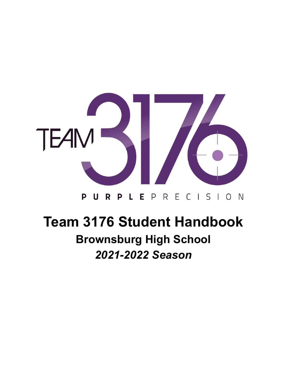

#### R P L E P R E C I S I O N P U

# **Team 3176 Student Handbook**

## **Brownsburg High School** *2021-2022 Season*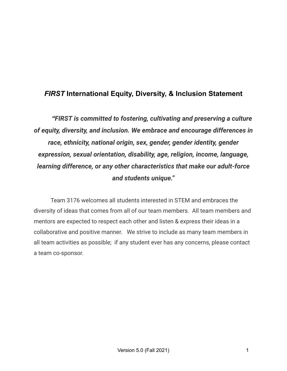### *FIRST* **International Equity, Diversity, & Inclusion Statement**

*"FIRST is committed to fostering, cultivating and preserving a culture of equity, diversity, and inclusion. We embrace and encourage differences in race, ethnicity, national origin, sex, gender, gender identity, gender expression, sexual orientation, disability, age, religion, income, language, learning difference, or any other characteristics that make our adult-force and students unique."*

Team 3176 welcomes all students interested in STEM and embraces the diversity of ideas that comes from all of our team members. All team members and mentors are expected to respect each other and listen & express their ideas in a collaborative and positive manner. We strive to include as many team members in all team activities as possible; if any student ever has any concerns, please contact a team co-sponsor.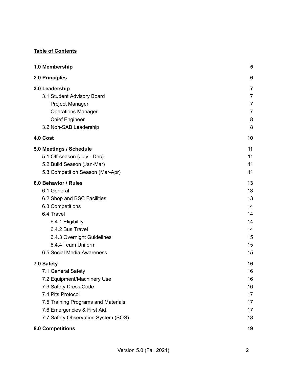#### **Table of Contents**

| 1.0 Membership                      | 5              |
|-------------------------------------|----------------|
| 2.0 Principles                      | 6              |
| 3.0 Leadership                      | 7              |
| 3.1 Student Advisory Board          | $\overline{7}$ |
| Project Manager                     | $\overline{7}$ |
| <b>Operations Manager</b>           | $\overline{7}$ |
| <b>Chief Engineer</b>               | 8              |
| 3.2 Non-SAB Leadership              | 8              |
| 4.0 Cost                            | 10             |
| 5.0 Meetings / Schedule             | 11             |
| 5.1 Off-season (July - Dec)         | 11             |
| 5.2 Build Season (Jan-Mar)          | 11             |
| 5.3 Competition Season (Mar-Apr)    | 11             |
| 6.0 Behavior / Rules                | 13             |
| 6.1 General                         | 13             |
| 6.2 Shop and BSC Facilities         | 13             |
| 6.3 Competitions                    | 14             |
| 6.4 Travel                          | 14             |
| 6.4.1 Eligibility                   | 14             |
| 6.4.2 Bus Travel                    | 14             |
| 6.4.3 Overnight Guidelines          | 15             |
| 6.4.4 Team Uniform                  | 15             |
| 6.5 Social Media Awareness          | 15             |
| 7.0 Safety                          | 16             |
| 7.1 General Safety                  | 16             |
| 7.2 Equipment/Machinery Use         | 16             |
| 7.3 Safety Dress Code               | 16             |
| 7.4 Pits Protocol                   | 17             |
| 7.5 Training Programs and Materials | 17             |
| 7.6 Emergencies & First Aid         | 17             |
| 7.7 Safety Observation System (SOS) | 18             |
| <b>8.0 Competitions</b>             | 19             |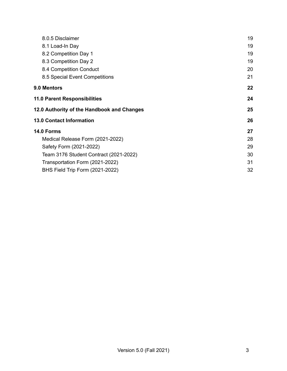| 8.0.5 Disclaimer                           | 19 |
|--------------------------------------------|----|
| 8.1 Load-In Day                            | 19 |
| 8.2 Competition Day 1                      | 19 |
| 8.3 Competition Day 2                      | 19 |
| 8.4 Competition Conduct                    | 20 |
| 8.5 Special Event Competitions             | 21 |
| 9.0 Mentors                                | 22 |
| <b>11.0 Parent Responsibilities</b>        | 24 |
| 12.0 Authority of the Handbook and Changes | 25 |
| <b>13.0 Contact Information</b>            | 26 |
| 14.0 Forms                                 | 27 |
| Medical Release Form (2021-2022)           | 28 |
| Safety Form (2021-2022)                    | 29 |
| Team 3176 Student Contract (2021-2022)     | 30 |
| Transportation Form (2021-2022)            | 31 |
| BHS Field Trip Form (2021-2022)            | 32 |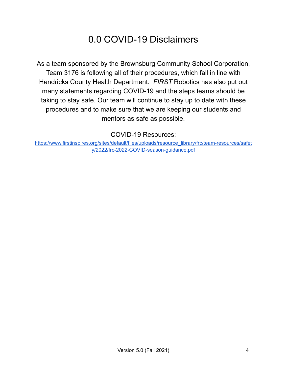## 0.0 COVID-19 Disclaimers

As a team sponsored by the Brownsburg Community School Corporation, Team 3176 is following all of their procedures, which fall in line with Hendricks County Health Department. *FIRST* Robotics has also put out many statements regarding COVID-19 and the steps teams should be taking to stay safe. Our team will continue to stay up to date with these procedures and to make sure that we are keeping our students and mentors as safe as possible.

COVID-19 Resources:

[https://www.firstinspires.org/sites/default/files/uploads/resource\\_library/frc/team-resources/safet](https://www.firstinspires.org/sites/default/files/uploads/resource_library/frc/team-resources/safety/2022/frc-2022-COVID-season-guidance.pdf) [y/2022/frc-2022-COVID-season-guidance.pdf](https://www.firstinspires.org/sites/default/files/uploads/resource_library/frc/team-resources/safety/2022/frc-2022-COVID-season-guidance.pdf)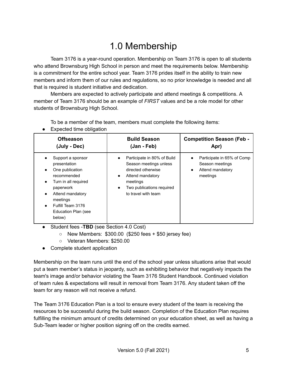## 1.0 Membership

<span id="page-5-0"></span>Team 3176 is a year-round operation. Membership on Team 3176 is open to all students who attend Brownsburg High School in person and meet the requirements below. Membership is a commitment for the entire school year. Team 3176 prides itself in the ability to train new members and inform them of our rules and regulations, so no prior knowledge is needed and all that is required is student initiative and dedication.

Members are expected to actively participate and attend meetings & competitions. A member of Team 3176 should be an example of *FIRST* values and be a role model for other students of Brownsburg High School.

To be a member of the team, members must complete the following items:

● Expected time obligation

| <b>Offseason</b>                                                                                                                                                                                                                                                | <b>Build Season</b>                                                                                                                                                               | <b>Competition Season (Feb -</b>                                              |
|-----------------------------------------------------------------------------------------------------------------------------------------------------------------------------------------------------------------------------------------------------------------|-----------------------------------------------------------------------------------------------------------------------------------------------------------------------------------|-------------------------------------------------------------------------------|
| (July - Dec)                                                                                                                                                                                                                                                    | (Jan - Feb)                                                                                                                                                                       | Apr)                                                                          |
| Support a sponsor<br>$\bullet$<br>presentation<br>One publication<br>$\bullet$<br>recommended<br>Turn in all required<br>$\bullet$<br>paperwork<br>Attend mandatory<br>$\bullet$<br>meetings<br>Fulfill Team 3176<br>$\bullet$<br>Education Plan (see<br>below) | Participate in 80% of Build<br>Season meetings unless<br>directed otherwise<br>Attend mandatory<br>$\bullet$<br>meetings<br>Two publications required<br>٠<br>to travel with team | Participate in 65% of Comp<br>Season meetings<br>Attend mandatory<br>meetings |

- Student fees -**TBD** (see Section 4.0 Cost)
	- $\circ$  New Members:  $$300.00$  (\$250 fees + \$50 jersey fee)
	- Veteran Members: \$250.00
- Complete student application

Membership on the team runs until the end of the school year unless situations arise that would put a team member's status in jeopardy, such as exhibiting behavior that negatively impacts the team's image and/or behavior violating the Team 3176 Student Handbook. Continued violation of team rules & expectations will result in removal from Team 3176. Any student taken off the team for any reason will not receive a refund.

The Team 3176 Education Plan is a tool to ensure every student of the team is receiving the resources to be successful during the build season. Completion of the Education Plan requires fulfilling the minimum amount of credits determined on your education sheet, as well as having a Sub-Team leader or higher position signing off on the credits earned.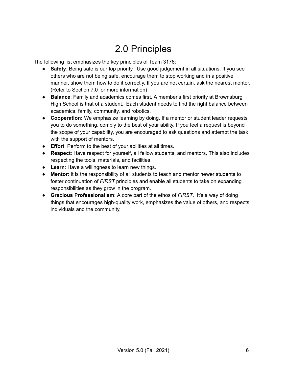## 2.0 Principles

<span id="page-6-0"></span>The following list emphasizes the key principles of Team 3176:

- **Safety**: Being safe is our top priority. Use good judgement in all situations. If you see others who are not being safe, encourage them to stop working and in a positive manner, show them how to do it correctly. If you are not certain, ask the nearest mentor. (Refer to Section 7.0 for more information)
- **Balance**: Family and academics comes first. A member's first priority at Brownsburg High School is that of a student. Each student needs to find the right balance between academics, family, community, and robotics.
- **Cooperation:** We emphasize learning by doing. If a mentor or student leader requests you to do something, comply to the best of your ability. If you feel a request is beyond the scope of your capability, you are encouraged to ask questions and attempt the task with the support of mentors.
- **Effort**: Perform to the best of your abilities at all times.
- **Respect**: Have respect for yourself, all fellow students, and mentors. This also includes respecting the tools, materials, and facilities.
- **Learn**: Have a willingness to learn new things.
- **Mentor**: It is the responsibility of all students to teach and mentor newer students to foster continuation of *FIRST* principles and enable all students to take on expanding responsibilities as they grow in the program.
- **Gracious Professionalism**: A core part of the ethos of *FIRST*. It's a way of doing things that encourages high-quality work, emphasizes the value of others, and respects individuals and the community.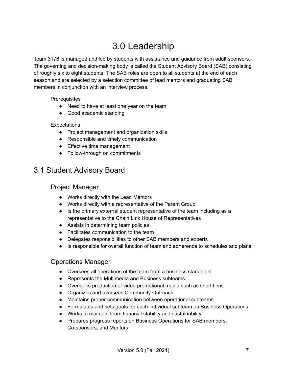## 3.0 Leadership

<span id="page-7-0"></span>Team 3176 is managed and led by students with assistance and guidance from adult sponsors. The governing and decision-making body is called the Student Advisory Board (SAB) consisting of roughly six to eight students. The SAB roles are open to all students at the end of each season and are selected by a selection committee of lead mentors and graduating SAB members in conjunction with an interview process.

**Prerequisites** 

- Need to have at least one year on the team
- Good academic standing

#### **Expectations**

- Project management and organization skills
- Responsible and timely communication
- Effective time management
- Follow-through on commitments

### <span id="page-7-2"></span><span id="page-7-1"></span>3.1 Student Advisory Board

#### Project Manager

- Works directly with the Lead Mentors
- Works directly with a representative of the Parent Group
- Is the primary external student representative of the team including as a representative to the Chain Link House of Representatives
- Assists in determining team policies
- Facilitates communication to the team
- Delegates responsibilities to other SAB members and experts
- Is responsible for overall function of team and adherence to schedules and plans

#### <span id="page-7-3"></span>Operations Manager

- Oversees all operations of the team from a business standpoint
- Represents the Multimedia and Business subteams
- Overlooks production of video promotional media such as short films
- Organizes and oversees Community Outreach
- Maintains proper communication between operational subteams
- Formulates and sets goals for each individual subteam on Business Operations
- Works to maintain team financial stability and sustainability
- Prepares progress reports on Business Operations for SAB members, Co-sponsors, and Mentors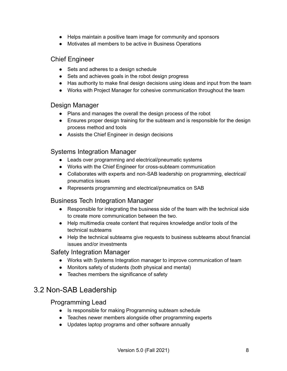- Helps maintain a positive team image for community and sponsors
- Motivates all members to be active in Business Operations

#### <span id="page-8-0"></span>Chief Engineer

- Sets and adheres to a design schedule
- Sets and achieves goals in the robot design progress
- Has authority to make final design decisions using ideas and input from the team
- Works with Project Manager for cohesive communication throughout the team

#### Design Manager

- Plans and manages the overall the design process of the robot
- Ensures proper design training for the subteam and is responsible for the design process method and tools
- Assists the Chief Engineer in design decisions

#### Systems Integration Manager

- Leads over programming and electrical/pneumatic systems
- Works with the Chief Engineer for cross-subteam communication
- Collaborates with experts and non-SAB leadership on programming, electrical/ pneumatics issues
- Represents programming and electrical/pneumatics on SAB

#### Business Tech Integration Manager

- Responsible for integrating the business side of the team with the technical side to create more communication between the two.
- Help multimedia create content that requires knowledge and/or tools of the technical subteams
- Help the technical subteams give requests to business subteams about financial issues and/or investments

#### Safety Integration Manager

- Works with Systems Integration manager to improve communication of team
- Monitors safety of students (both physical and mental)
- Teaches members the significance of safety

### <span id="page-8-1"></span>3.2 Non-SAB Leadership

#### Programming Lead

- Is responsible for making Programming subteam schedule
- Teaches newer members alongside other programming experts
- Updates laptop programs and other software annually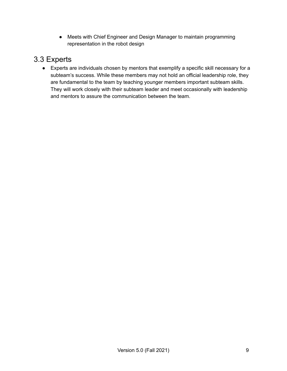● Meets with Chief Engineer and Design Manager to maintain programming representation in the robot design

### 3.3 Experts

● Experts are individuals chosen by mentors that exemplify a specific skill necessary for a subteam's success. While these members may not hold an official leadership role, they are fundamental to the team by teaching younger members important subteam skills. They will work closely with their subteam leader and meet occasionally with leadership and mentors to assure the communication between the team.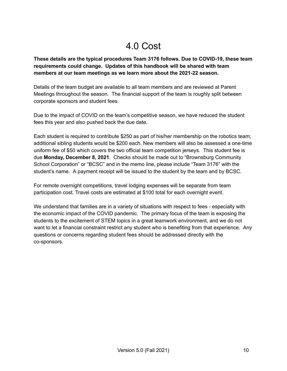## 4.0 Cost

<span id="page-10-0"></span>**These details are the typical procedures Team 3176 follows. Due to COVID-19, these team requirements could change. Updates of this handbook will be shared with team members at our team meetings as we learn more about the 2021-22 season.**

Details of the team budget are available to all team members and are reviewed at Parent Meetings throughout the season. The financial support of the team is roughly split between corporate sponsors and student fees.

Due to the impact of COVID on the team's competitive season, we have reduced the student fees this year and also pushed back the due date.

Each student is required to contribute \$250 as part of his/her membership on the robotics team; additional sibling students would be \$200 each. New members will also be assessed a one-time uniform fee of \$50 which covers the two official team competition jerseys. This student fee is due **Monday, December 8, 2021**. Checks should be made out to "Brownsburg Community School Corporation" or "BCSC" and in the memo line, please include "Team 3176" with the student's name. A payment receipt will be issued to the student by the team and by BCSC.

For remote overnight competitions, travel lodging expenses will be separate from team participation cost. Travel costs are estimated at \$100 total for each overnight event.

We understand that families are in a variety of situations with respect to fees - especially with the economic impact of the COVID pandemic. The primary focus of the team is exposing the students to the excitement of STEM topics in a great teamwork environment, and we do not want to let a financial constraint restrict any student who is benefiting from that experience. Any questions or concerns regarding student fees should be addressed directly with the co-sponsors.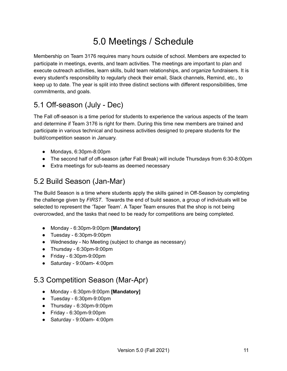## 5.0 Meetings / Schedule

<span id="page-11-0"></span>Membership on Team 3176 requires many hours outside of school. Members are expected to participate in meetings, events, and team activities. The meetings are important to plan and execute outreach activities, learn skills, build team relationships, and organize fundraisers. It is every student's responsibility to regularly check their email, Slack channels, Remind, etc., to keep up to date. The year is split into three distinct sections with different responsibilities, time commitments, and goals.

### <span id="page-11-1"></span>5.1 Off-season (July - Dec)

The Fall off-season is a time period for students to experience the various aspects of the team and determine if Team 3176 is right for them. During this time new members are trained and participate in various technical and business activities designed to prepare students for the build/competition season in January.

- Mondays, 6:30pm-8:00pm
- The second half of off-season (after Fall Break) will include Thursdays from 6:30-8:00pm
- Extra meetings for sub-teams as deemed necessary

### <span id="page-11-2"></span>5.2 Build Season (Jan-Mar)

The Build Season is a time where students apply the skills gained in Off-Season by completing the challenge given by *FIRST*. Towards the end of build season, a group of individuals will be selected to represent the 'Taper Team'. A Taper Team ensures that the shop is not being overcrowded, and the tasks that need to be ready for competitions are being completed.

- Monday 6:30pm-9:00pm **[Mandatory]**
- Tuesday 6:30pm-9:00pm
- Wednesday No Meeting (subject to change as necessary)
- Thursday 6:30pm-9:00pm
- Friday 6:30pm-9:00pm
- Saturday 9:00am- 4:00pm

### <span id="page-11-3"></span>5.3 Competition Season (Mar-Apr)

- Monday 6:30pm-9:00pm **[Mandatory]**
- Tuesday 6:30pm-9:00pm
- Thursday 6:30pm-9:00pm
- Friday 6:30pm-9:00pm
- Saturday 9:00am- 4:00pm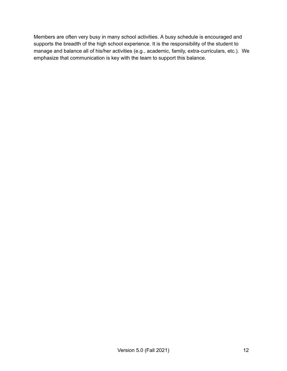Members are often very busy in many school activities. A busy schedule is encouraged and supports the breadth of the high school experience. It is the responsibility of the student to manage and balance all of his/her activities (e.g., academic, family, extra-curriculars, etc.). We emphasize that communication is key with the team to support this balance.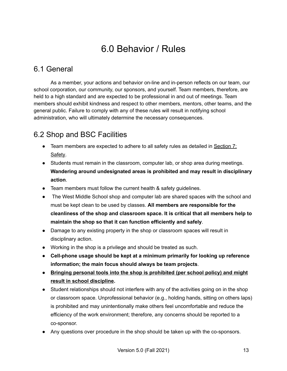## 6.0 Behavior / Rules

### <span id="page-13-1"></span><span id="page-13-0"></span>6.1 General

As a member, your actions and behavior on-line and in-person reflects on our team, our school corporation, our community, our sponsors, and yourself. Team members, therefore, are held to a high standard and are expected to be professional in and out of meetings. Team members should exhibit kindness and respect to other members, mentors, other teams, and the general public. Failure to comply with any of these rules will result in notifying school administration, who will ultimately determine the necessary consequences.

### <span id="page-13-2"></span>6.2 Shop and BSC Facilities

- **•** Team members are expected to adhere to all safety rules as detailed in **Section 7:** Safety.
- Students must remain in the classroom, computer lab, or shop area during meetings. **Wandering around undesignated areas is prohibited and may result in disciplinary action**.
- Team members must follow the current health & safety guidelines.
- The West Middle School shop and computer lab are shared spaces with the school and must be kept clean to be used by classes. **All members are responsible for the cleanliness of the shop and classroom space. It is critical that all members help to maintain the shop so that it can function efficiently and safely**.
- Damage to any existing property in the shop or classroom spaces will result in disciplinary action.
- Working in the shop is a privilege and should be treated as such.
- **Cell-phone usage should be kept at a minimum primarily for looking up reference information; the main focus should always be team projects**.
- **Bringing personal tools into the shop is prohibited (per school policy) and might result in school discipline.**
- Student relationships should not interfere with any of the activities going on in the shop or classroom space. Unprofessional behavior (e.g., holding hands, sitting on others laps) is prohibited and may unintentionally make others feel uncomfortable and reduce the efficiency of the work environment; therefore, any concerns should be reported to a co-sponsor.
- Any questions over procedure in the shop should be taken up with the co-sponsors.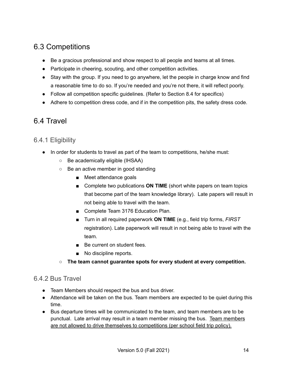### <span id="page-14-0"></span>6.3 Competitions

- Be a gracious professional and show respect to all people and teams at all times.
- Participate in cheering, scouting, and other competition activities.
- Stay with the group. If you need to go anywhere, let the people in charge know and find a reasonable time to do so. If you're needed and you're not there, it will reflect poorly.
- Follow all competition specific guidelines. (Refer to Section 8.4 for specifics)
- Adhere to competition dress code, and if in the competition pits, the safety dress code.

### <span id="page-14-1"></span>6.4 Travel

### <span id="page-14-2"></span>6.4.1 Eligibility

- In order for students to travel as part of the team to competitions, he/she must:
	- Be academically eligible (IHSAA)
	- Be an active member in good standing
		- Meet attendance goals
		- Complete two publications **ON TIME** (short white papers on team topics that become part of the team knowledge library). Late papers will result in not being able to travel with the team.
		- Complete Team 3176 Education Plan.
		- Turn in all required paperwork **ON TIME** (e.g., field trip forms, *FIRST* registration). Late paperwork will result in not being able to travel with the team.
		- Be current on student fees.
		- No discipline reports.
	- **The team cannot guarantee spots for every student at every competition.**

#### <span id="page-14-3"></span>6.4.2 Bus Travel

- Team Members should respect the bus and bus driver.
- Attendance will be taken on the bus. Team members are expected to be quiet during this time.
- Bus departure times will be communicated to the team, and team members are to be punctual. Late arrival may result in a team member missing the bus. Team members are not allowed to drive themselves to competitions (per school field trip policy).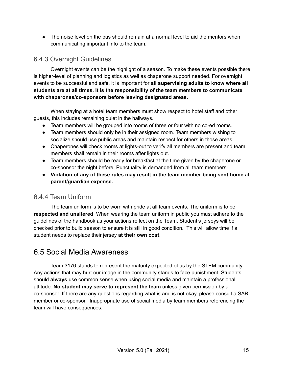• The noise level on the bus should remain at a normal level to aid the mentors when communicating important info to the team.

#### <span id="page-15-0"></span>6.4.3 Overnight Guidelines

Overnight events can be the highlight of a season. To make these events possible there is higher-level of planning and logistics as well as chaperone support needed. For overnight events to be successful and safe, it is important for **all supervising adults to know where all students are at all times. It is the responsibility of the team members to communicate with chaperones/co-sponsors before leaving designated areas.**

When staying at a hotel team members must show respect to hotel staff and other guests, this includes remaining quiet in the hallways.

- Team members will be grouped into rooms of three or four with no co-ed rooms.
- Team members should only be in their assigned room. Team members wishing to socialize should use public areas and maintain respect for others in those areas.
- Chaperones will check rooms at lights-out to verify all members are present and team members shall remain in their rooms after lights out.
- Team members should be ready for breakfast at the time given by the chaperone or co-sponsor the night before. Punctuality is demanded from all team members.
- **Violation of any of these rules may result in the team member being sent home at parent/guardian expense.**

#### <span id="page-15-1"></span>6.4.4 Team Uniform

The team uniform is to be worn with pride at all team events. The uniform is to be **respected and unaltered**. When wearing the team uniform in public you must adhere to the guidelines of the handbook as your actions reflect on the Team. Student's jerseys will be checked prior to build season to ensure it is still in good condition. This will allow time if a student needs to replace their jersey **at their own cost**.

### <span id="page-15-2"></span>6.5 Social Media Awareness

Team 3176 stands to represent the maturity expected of us by the STEM community. Any actions that may hurt our image in the community stands to face punishment. Students should **always** use common sense when using social media and maintain a professional attitude. **No student may serve to represent the team** unless given permission by a co-sponsor. If there are any questions regarding what is and is not okay, please consult a SAB member or co-sponsor. Inappropriate use of social media by team members referencing the team will have consequences.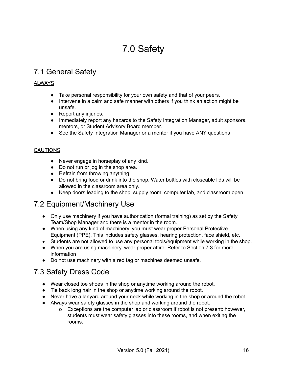## 7.0 Safety

### <span id="page-16-1"></span><span id="page-16-0"></span>7.1 General Safety

#### ALWAYS

- Take personal responsibility for your own safety and that of your peers.
- Intervene in a calm and safe manner with others if you think an action might be unsafe.
- Report any injuries.
- Immediately report any hazards to the Safety Integration Manager, adult sponsors, mentors, or Student Advisory Board member.
- See the Safety Integration Manager or a mentor if you have ANY questions

#### **CAUTIONS**

- Never engage in horseplay of any kind.
- Do not run or jog in the shop area.
- Refrain from throwing anything.
- Do not bring food or drink into the shop. Water bottles with closeable lids will be allowed in the classroom area only.
- Keep doors leading to the shop, supply room, computer lab, and classroom open.

### <span id="page-16-2"></span>7.2 Equipment/Machinery Use

- Only use machinery if you have authorization (formal training) as set by the Safety Team/Shop Manager and there is a mentor in the room.
- When using any kind of machinery, you must wear proper Personal Protective Equipment (PPE). This includes safety glasses, hearing protection, face shield, etc.
- Students are not allowed to use any personal tools/equipment while working in the shop.
- When you are using machinery, wear proper attire. Refer to Section 7.3 for more information
- Do not use machinery with a red tag or machines deemed unsafe.

### <span id="page-16-3"></span>7.3 Safety Dress Code

- Wear closed toe shoes in the shop or anytime working around the robot.
- Tie back long hair in the shop or anytime working around the robot.
- Never have a lanyard around your neck while working in the shop or around the robot.
- Always wear safety glasses in the shop and working around the robot.
	- o Exceptions are the computer lab or classroom if robot is not present: however, students must wear safety glasses into these rooms, and when exiting the rooms.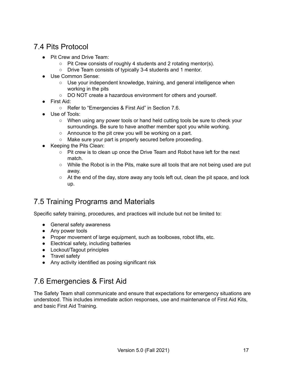### <span id="page-17-0"></span>7.4 Pits Protocol

- Pit Crew and Drive Team:
	- Pit Crew consists of roughly 4 students and 2 rotating mentor(s).
	- Drive Team consists of typically 3-4 students and 1 mentor.
- Use Common Sense:
	- Use your independent knowledge, training, and general intelligence when working in the pits
	- DO NOT create a hazardous environment for others and yourself.
- First Aid:
	- Refer to "Emergencies & First Aid" in Section 7.6.
- Use of Tools:
	- When using any power tools or hand held cutting tools be sure to check your surroundings. Be sure to have another member spot you while working.
	- Announce to the pit crew you will be working on a part.
	- Make sure your part is properly secured before proceeding.
- Keeping the Pits Clean:
	- Pit crew is to clean up once the Drive Team and Robot have left for the next match.
	- While the Robot is in the Pits, make sure all tools that are not being used are put away.
	- At the end of the day, store away any tools left out, clean the pit space, and lock up.

### <span id="page-17-1"></span>7.5 Training Programs and Materials

Specific safety training, procedures, and practices will include but not be limited to:

- General safety awareness
- Any power tools
- Proper movement of large equipment, such as toolboxes, robot lifts, etc.
- Electrical safety, including batteries
- Lockout/Tagout principles
- Travel safety
- Any activity identified as posing significant risk

### <span id="page-17-2"></span>7.6 Emergencies & First Aid

The Safety Team shall communicate and ensure that expectations for emergency situations are understood. This includes immediate action responses, use and maintenance of First Aid Kits, and basic First Aid Training.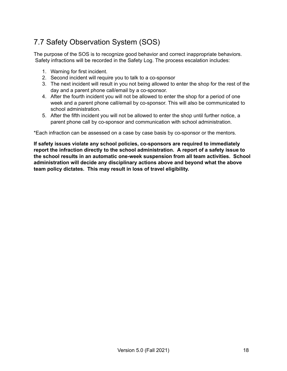## <span id="page-18-0"></span>7.7 Safety Observation System (SOS)

The purpose of the SOS is to recognize good behavior and correct inappropriate behaviors. Safety infractions will be recorded in the Safety Log. The process escalation includes:

- 1. Warning for first incident.
- 2. Second incident will require you to talk to a co-sponsor
- 3. The next incident will result in you not being allowed to enter the shop for the rest of the day and a parent phone call/email by a co-sponsor.
- 4. After the fourth incident you will not be allowed to enter the shop for a period of one week and a parent phone call/email by co-sponsor. This will also be communicated to school administration.
- 5. After the fifth incident you will not be allowed to enter the shop until further notice, a parent phone call by co-sponsor and communication with school administration.

\*Each infraction can be assessed on a case by case basis by co-sponsor or the mentors.

**If safety issues violate any school policies, co-sponsors are required to immediately report the infraction directly to the school administration. A report of a safety issue to the school results in an automatic one-week suspension from all team activities. School administration will decide any disciplinary actions above and beyond what the above team policy dictates. This may result in loss of travel eligibility.**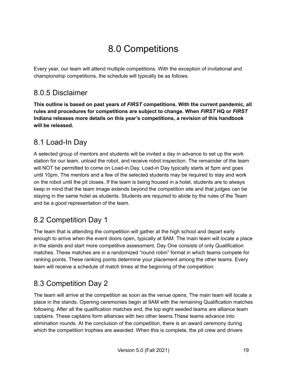## 8.0 Competitions

<span id="page-19-0"></span>Every year, our team will attend multiple competitions. With the exception of invitational and championship competitions, the schedule will typically be as follows.

### <span id="page-19-1"></span>8.0.5 Disclaimer

**This outline is based on past years of** *FIRST* **competitions. With the current pandemic, all rules and procedures for competitions are subject to change. When** *FIRST* **HQ or** *FIRST* **Indiana releases more details on this year's competitions, a revision of this handbook will be released.**

### <span id="page-19-2"></span>8.1 Load-In Day

A selected group of mentors and students will be invited a day in advance to set up the work station for our team, unload the robot, and receive robot inspection. The remainder of the team will NOT be permitted to come on Load-in Day. Load-in Day typically starts at 5pm and goes until 10pm. The mentors and a few of the selected students may be required to stay and work on the robot until the pit closes. If the team is being housed in a hotel, students are to always keep in mind that the team image extends beyond the competition site and that judges can be staying in the same hotel as students. Students are required to abide by the rules of the Team and be a good representation of the team.

### <span id="page-19-3"></span>8.2 Competition Day 1

The team that is attending the competition will gather at the high school and depart early enough to arrive when the event doors open, typically at 8AM. The main team will locate a place in the stands and start more competitive assessment. Day One consists of only Qualification matches. These matches are in a randomized "round robin" format in which teams compete for ranking points. These ranking points determine your placement among the other teams. Every team will receive a schedule of match times at the beginning of the competition.

### <span id="page-19-4"></span>8.3 Competition Day 2

The team will arrive at the competition as soon as the venue opens. The main team will locate a place in the stands. Opening ceremonies begin at 9AM with the remaining Qualification matches following. After all the qualification matches end, the top eight seeded teams are alliance team captains. These captains form alliances with two other teams.These teams advance into elimination rounds. At the conclusion of the competition, there is an award ceremony during which the competition trophies are awarded. When this is complete, the pit crew and drivers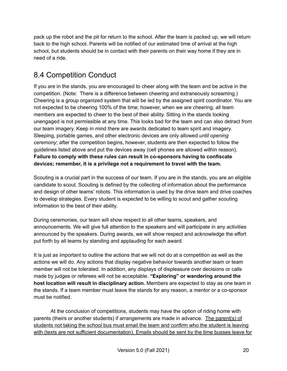pack up the robot and the pit for return to the school. After the team is packed up, we will return back to the high school. Parents will be notified of our estimated time of arrival at the high school, but students should be in contact with their parents on their way home if they are in need of a ride.

### <span id="page-20-0"></span>8.4 Competition Conduct

If you are in the stands, you are encouraged to cheer along with the team and be active in the competition. (Note: There is a difference between cheering and extraneously screaming.) Cheering is a group organized system that will be led by the assigned spirit coordinator. You are not expected to be cheering 100% of the time; however, when we are cheering, all team members are expected to cheer to the best of their ability. Sitting in the stands looking unengaged is not permissible at any time. This looks bad for the team and can also detract from our team imagery. Keep in mind there are awards dedicated to team spirit and imagery. Sleeping, portable games, and other electronic devices are only allowed *until opening ceremony*; after the competition begins, however, students are then expected to follow the guidelines listed above and put the devices away (cell phones are allowed within reason). **Failure to comply with these rules can result in co-sponsors having to confiscate devices; remember, it is a privilege not a requirement to travel with the team.**

Scouting is a crucial part in the success of our team. If you are in the stands, you are an eligible candidate to scout. Scouting is defined by the collecting of information about the performance and design of other teams' robots. This information is used by the drive team and drive coaches to develop strategies. Every student is expected to be willing to scout and gather scouting information to the best of their ability.

During ceremonies, our team will show respect to all other teams, speakers, and announcements. We will give full attention to the speakers and will participate in any activities announced by the speakers. During awards, we will show respect and acknowledge the effort put forth by all teams by standing and applauding for each award.

It is just as important to outline the actions that we will not do at a competition as well as the actions we will do. Any actions that display negative behavior towards another team or team member will not be tolerated. In addition, any displays of displeasure over decisions or calls made by judges or referees will not be acceptable. **"Exploring" or wandering around the host location will result in disciplinary action.** Members are expected to stay as one team in the stands. If a team member must leave the stands for any reason, a mentor or a co-sponsor must be notified.

At the conclusion of competitions, students may have the option of riding home with parents (theirs or another students) if arrangements are made in advance. The parent(s) of students not taking the school bus must email the team and confirm who the student is leaving with (texts are not sufficient documentation). Emails should be sent by the time busses leave for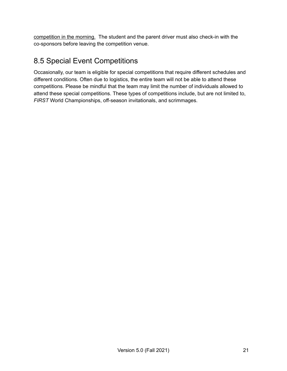competition in the morning. The student and the parent driver must also check-in with the co-sponsors before leaving the competition venue.

### <span id="page-21-0"></span>8.5 Special Event Competitions

Occasionally, our team is eligible for special competitions that require different schedules and different conditions. Often due to logistics, the entire team will not be able to attend these competitions. Please be mindful that the team may limit the number of individuals allowed to attend these special competitions. These types of competitions include, but are not limited to, *FIRST* World Championships, off-season invitationals, and scrimmages.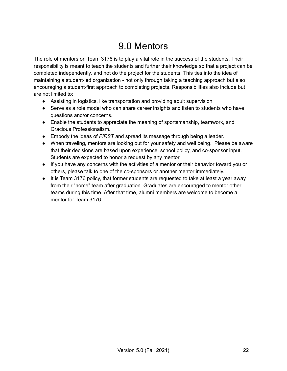## 9.0 Mentors

<span id="page-22-0"></span>The role of mentors on Team 3176 is to play a vital role in the success of the students. Their responsibility is meant to teach the students and further their knowledge so that a project can be completed independently, and not do the project for the students. This ties into the idea of maintaining a student-led organization - not only through taking a teaching approach but also encouraging a student-first approach to completing projects. Responsibilities also include but are not limited to:

- Assisting in logistics, like transportation and providing adult supervision
- Serve as a role model who can share career insights and listen to students who have questions and/or concerns.
- Enable the students to appreciate the meaning of sportsmanship, teamwork, and Gracious Professionalism.
- Embody the ideas of *FIRST* and spread its message through being a leader.
- When traveling, mentors are looking out for your safety and well being. Please be aware that their decisions are based upon experience, school policy, and co-sponsor input. Students are expected to honor a request by any mentor.
- If you have any concerns with the activities of a mentor or their behavior toward you or others, please talk to one of the co-sponsors or another mentor immediately.
- It is Team 3176 policy, that former students are requested to take at least a year away from their "home" team after graduation. Graduates are encouraged to mentor other teams during this time. After that time, alumni members are welcome to become a mentor for Team 3176.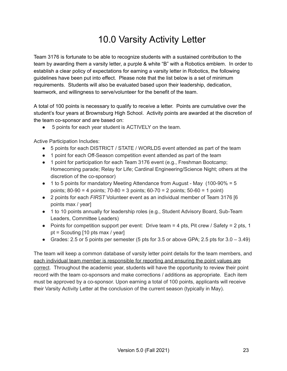## 10.0 Varsity Activity Letter

Team 3176 is fortunate to be able to recognize students with a sustained contribution to the team by awarding them a varsity letter, a purple & white "B" with a Robotics emblem. In order to establish a clear policy of expectations for earning a varsity letter in Robotics, the following guidelines have been put into effect. Please note that the list below is a set of minimum requirements. Students will also be evaluated based upon their leadership, dedication, teamwork, and willingness to serve/volunteer for the benefit of the team.

A total of 100 points is necessary to qualify to receive a letter. Points are cumulative over the student's four years at Brownsburg High School. Activity points are awarded at the discretion of the team co-sponsor and are based on:

● 5 points for each year student is ACTIVELY on the team.

Active Participation Includes:

- 5 points for each DISTRICT / STATE / WORLDS event attended as part of the team
- 1 point for each Off-Season competition event attended as part of the team
- 1 point for participation for each Team 3176 event (e.g., Freshman Bootcamp; Homecoming parade; Relay for Life; Cardinal Engineering/Science Night; others at the discretion of the co-sponsor)
- $\bullet$  1 to 5 points for mandatory Meeting Attendance from August May (100-90% = 5 points; 80-90 = 4 points; 70-80 = 3 points; 60-70 = 2 points; 50-60 = 1 point)
- 2 points for each *FIRST* Volunteer event as an individual member of Team 3176 [6 points max / year]
- 1 to 10 points annually for leadership roles (e.g., Student Advisory Board, Sub-Team Leaders, Committee Leaders)
- Points for competition support per event: Drive team  $=$  4 pts, Pit crew / Safety  $=$  2 pts, 1 pt = Scouting [10 pts max / year]
- Grades: 2.5 or 5 points per semester (5 pts for 3.5 or above GPA; 2.5 pts for  $3.0 3.49$ )

The team will keep a common database of varsity letter point details for the team members, and each individual team member is responsible for reporting and ensuring the point values are correct. Throughout the academic year, students will have the opportunity to review their point record with the team co-sponsors and make corrections / additions as appropriate. Each item must be approved by a co-sponsor. Upon earning a total of 100 points, applicants will receive their Varsity Activity Letter at the conclusion of the current season (typically in May).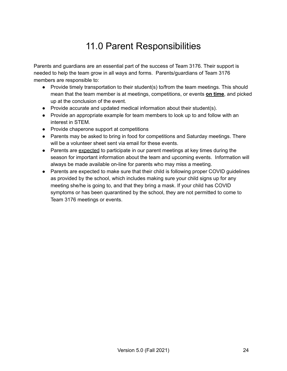## 11.0 Parent Responsibilities

<span id="page-24-0"></span>Parents and guardians are an essential part of the success of Team 3176. Their support is needed to help the team grow in all ways and forms. Parents/guardians of Team 3176 members are responsible to:

- Provide timely transportation to their student(s) to/from the team meetings. This should mean that the team member is at meetings, competitions, or events **on time**, and picked up at the conclusion of the event.
- Provide accurate and updated medical information about their student(s).
- Provide an appropriate example for team members to look up to and follow with an interest in STEM.
- Provide chaperone support at competitions
- Parents may be asked to bring in food for competitions and Saturday meetings. There will be a volunteer sheet sent via email for these events.
- Parents are expected to participate in our parent meetings at key times during the season for important information about the team and upcoming events. Information will always be made available on-line for parents who may miss a meeting.
- Parents are expected to make sure that their child is following proper COVID guidelines as provided by the school, which includes making sure your child signs up for any meeting she/he is going to, and that they bring a mask. If your child has COVID symptoms or has been quarantined by the school, they are not permitted to come to Team 3176 meetings or events.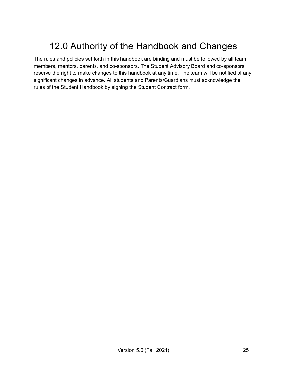## <span id="page-25-0"></span>12.0 Authority of the Handbook and Changes

The rules and policies set forth in this handbook are binding and must be followed by all team members, mentors, parents, and co-sponsors. The Student Advisory Board and co-sponsors reserve the right to make changes to this handbook at any time. The team will be notified of any significant changes in advance. All students and Parents/Guardians must acknowledge the rules of the Student Handbook by signing the Student Contract form.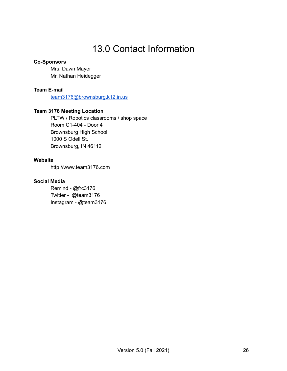## 13.0 Contact Information

#### <span id="page-26-0"></span>**Co-Sponsors**

Mrs. Dawn Mayer Mr. Nathan Heidegger

#### **Team E-mail**

[team3176@brownsburg.k12.in.us](mailto:team3176@brownsburg.k12.in.us)

#### **Team 3176 Meeting Location**

PLTW / Robotics classrooms / shop space Room C1-404 - Door 4 Brownsburg High School 1000 S Odell St. Brownsburg, IN 46112

#### **Website**

http://www.team3176.com

#### **Social Media**

Remind - @frc3176 Twitter - @team3176 Instagram - @team3176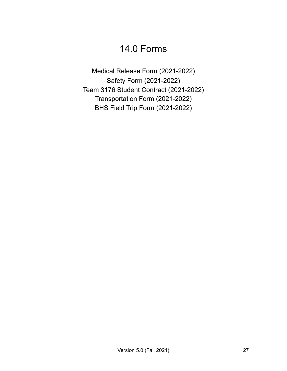## 14.0 Forms

<span id="page-27-0"></span>Medical Release Form (2021-2022) Safety Form (2021-2022) Team 3176 Student Contract (2021-2022) Transportation Form (2021-2022) BHS Field Trip Form (2021-2022)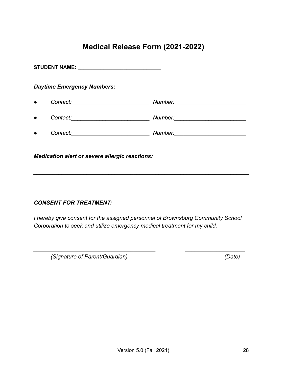### **Medical Release Form (2021-2022)**

<span id="page-28-0"></span>

|                                                       | <b>Daytime Emergency Numbers:</b> |                                      |  |
|-------------------------------------------------------|-----------------------------------|--------------------------------------|--|
|                                                       |                                   |                                      |  |
|                                                       |                                   | Number: ____________________________ |  |
|                                                       |                                   |                                      |  |
| <i>Medication alert or severe allergic reactions:</i> |                                   |                                      |  |

#### *CONSENT FOR TREATMENT:*

*I hereby give consent for the assigned personnel of Brownsburg Community School Corporation to seek and utilize emergency medical treatment for my child.*

*\_\_\_\_\_\_\_\_\_\_\_\_\_\_\_\_\_\_\_\_\_\_\_\_\_\_\_\_\_\_\_\_\_\_\_\_\_\_\_ \_\_\_\_\_\_\_\_\_\_\_\_\_\_\_\_\_\_\_*

*(Signature of Parent/Guardian) (Date)*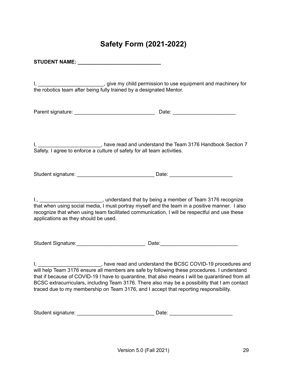### **Safety Form (2021-2022)**

<span id="page-29-0"></span>**STUDENT NAME: \_\_\_\_\_\_\_\_\_\_\_\_\_\_\_\_\_\_\_\_\_\_\_\_\_\_\_\_\_**

I, \_\_\_\_\_\_\_\_\_\_\_\_\_\_\_\_\_\_\_\_\_\_\_\_\_\_, give my child permission to use equipment and machinery for the robotics team after being fully trained by a designated Mentor.

Parent signature: example of the state of the Date:  $\Box$  Date:  $\Box$ 

I, **I** Example 20 and 20 and understand the Team 3176 Handbook Section 7 Safety. I agree to enforce a culture of safety for all team activities.

Student signature: \_\_\_\_\_\_\_\_\_\_\_\_\_\_\_\_\_\_\_\_\_\_\_\_\_\_\_ Date: \_\_\_\_\_\_\_\_\_\_\_\_\_\_\_\_\_\_\_\_\_\_

I., \_\_\_\_\_\_\_\_\_\_\_\_\_\_\_\_\_\_\_\_\_\_\_\_, understand that by being a member of Team 3176 recognize that when using social media, I must portray myself and the team in a positive manner. I also recognize that when using team facilitated communication, I will be respectful and use these applications as they should be used.

Student Signature:\_\_\_\_\_\_\_\_\_\_\_\_\_\_\_\_\_\_\_\_\_\_\_\_ Date:\_\_\_\_\_\_\_\_\_\_\_\_\_\_\_\_\_\_\_\_\_\_\_\_\_\_\_

I, **I** Example 20 and and understand the BCSC COVID-19 procedures and will help Team 3176 ensure all members are safe by following these procedures. I understand that if because of COVID-19 I have to quarantine, that also means I will be quarantined from all BCSC extracurriculars, including Team 3176. There also may be a possibility that I am contact traced due to my membership on Team 3176, and I accept that reporting responsibility.

| Student signature: | Date |  |
|--------------------|------|--|
|--------------------|------|--|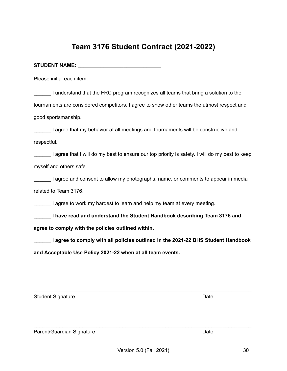### **agree to comply with the policies outlined within.**

\_\_\_\_\_\_ **I agree to comply with all policies outlined in the 2021-22 BHS Student Handbook and Acceptable Use Policy 2021-22 when at all team events.**

 $\mathcal{L}_\text{max}$  and  $\mathcal{L}_\text{max}$  and  $\mathcal{L}_\text{max}$  and  $\mathcal{L}_\text{max}$  and  $\mathcal{L}_\text{max}$  and  $\mathcal{L}_\text{max}$ 

 $\mathcal{L}_\text{max}$  and  $\mathcal{L}_\text{max}$  and  $\mathcal{L}_\text{max}$  and  $\mathcal{L}_\text{max}$  and  $\mathcal{L}_\text{max}$  and  $\mathcal{L}_\text{max}$ 

### **Team 3176 Student Contract (2021-2022)**

Please initial each item:

I understand that the FRC program recognizes all teams that bring a solution to the tournaments are considered competitors. I agree to show other teams the utmost respect and good sportsmanship.

I agree that my behavior at all meetings and tournaments will be constructive and respectful.

I agree that I will do my best to ensure our top priority is safety. I will do my best to keep myself and others safe.

I agree and consent to allow my photographs, name, or comments to appear in media related to Team 3176.

\_\_\_\_\_\_ **I have read and understand the Student Handbook describing Team 3176 and**

I agree to work my hardest to learn and help my team at every meeting.

<span id="page-30-0"></span>**STUDENT NAME: \_\_\_\_\_\_\_\_\_\_\_\_\_\_\_\_\_\_\_\_\_\_\_\_\_\_\_\_\_**

Student Signature Date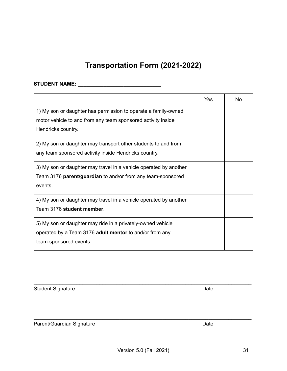$\mathcal{L}_\text{max}$  and  $\mathcal{L}_\text{max}$  and  $\mathcal{L}_\text{max}$  and  $\mathcal{L}_\text{max}$  and  $\mathcal{L}_\text{max}$  and  $\mathcal{L}_\text{max}$ 

 $\mathcal{L}_\text{max}$  and  $\mathcal{L}_\text{max}$  and  $\mathcal{L}_\text{max}$  and  $\mathcal{L}_\text{max}$  and  $\mathcal{L}_\text{max}$  and  $\mathcal{L}_\text{max}$ 

### **Transportation Form (2021-2022)**

#### <span id="page-31-0"></span>**STUDENT NAME: \_\_\_\_\_\_\_\_\_\_\_\_\_\_\_\_\_\_\_\_\_\_\_\_\_\_\_\_\_**

|                                                                                                                                                      | Yes | No |
|------------------------------------------------------------------------------------------------------------------------------------------------------|-----|----|
| 1) My son or daughter has permission to operate a family-owned<br>motor vehicle to and from any team sponsored activity inside<br>Hendricks country. |     |    |
| 2) My son or daughter may transport other students to and from<br>any team sponsored activity inside Hendricks country.                              |     |    |
| 3) My son or daughter may travel in a vehicle operated by another<br>Team 3176 parent/guardian to and/or from any team-sponsored<br>events.          |     |    |
| 4) My son or daughter may travel in a vehicle operated by another<br>Team 3176 student member.                                                       |     |    |
| 5) My son or daughter may ride in a privately-owned vehicle<br>operated by a Team 3176 adult mentor to and/or from any<br>team-sponsored events.     |     |    |

Student Signature Date

Parent/Guardian Signature **Date** Date Date